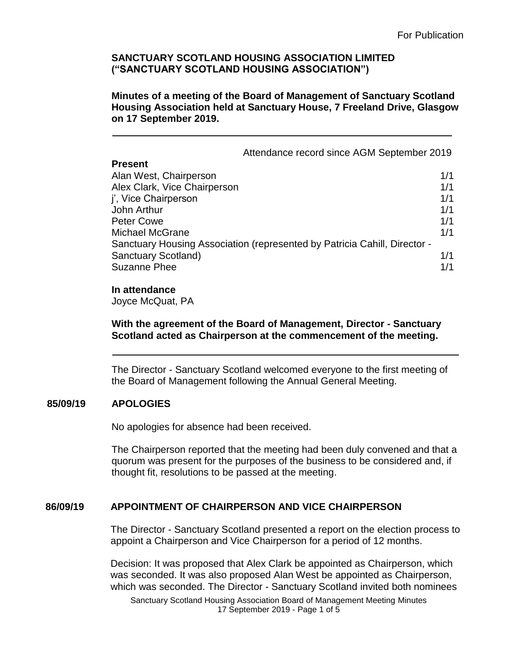**Minutes of a meeting of the Board of Management of Sanctuary Scotland Housing Association held at Sanctuary House, 7 Freeland Drive, Glasgow on 17 September 2019.**

| Attendance record since AGM September 2019                                |     |
|---------------------------------------------------------------------------|-----|
| <b>Present</b>                                                            |     |
| Alan West, Chairperson                                                    | 1/1 |
| Alex Clark, Vice Chairperson                                              | 1/1 |
| j', Vice Chairperson                                                      | 1/1 |
| John Arthur                                                               | 1/1 |
| <b>Peter Cowe</b>                                                         | 1/1 |
| <b>Michael McGrane</b>                                                    | 1/1 |
| Sanctuary Housing Association (represented by Patricia Cahill, Director - |     |
| <b>Sanctuary Scotland)</b>                                                | 1/1 |
| <b>Suzanne Phee</b>                                                       | 1/1 |

#### **In attendance**

Joyce McQuat, PA

**With the agreement of the Board of Management, Director - Sanctuary Scotland acted as Chairperson at the commencement of the meeting.**

The Director - Sanctuary Scotland welcomed everyone to the first meeting of the Board of Management following the Annual General Meeting.

# **85/09/19 APOLOGIES**

No apologies for absence had been received.

The Chairperson reported that the meeting had been duly convened and that a quorum was present for the purposes of the business to be considered and, if thought fit, resolutions to be passed at the meeting.

# **86/09/19 APPOINTMENT OF CHAIRPERSON AND VICE CHAIRPERSON**

The Director - Sanctuary Scotland presented a report on the election process to appoint a Chairperson and Vice Chairperson for a period of 12 months.

Decision: It was proposed that Alex Clark be appointed as Chairperson, which was seconded. It was also proposed Alan West be appointed as Chairperson, which was seconded. The Director - Sanctuary Scotland invited both nominees

Sanctuary Scotland Housing Association Board of Management Meeting Minutes 17 September 2019 - Page 1 of 5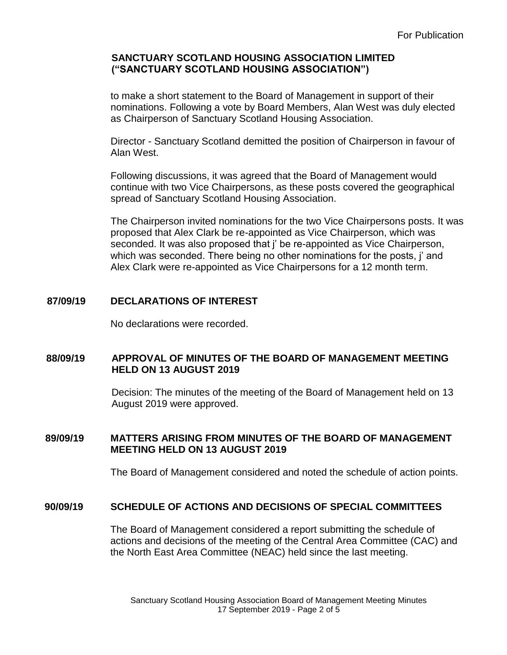to make a short statement to the Board of Management in support of their nominations. Following a vote by Board Members, Alan West was duly elected as Chairperson of Sanctuary Scotland Housing Association.

Director - Sanctuary Scotland demitted the position of Chairperson in favour of Alan West.

Following discussions, it was agreed that the Board of Management would continue with two Vice Chairpersons, as these posts covered the geographical spread of Sanctuary Scotland Housing Association.

The Chairperson invited nominations for the two Vice Chairpersons posts. It was proposed that Alex Clark be re-appointed as Vice Chairperson, which was seconded. It was also proposed that j' be re-appointed as Vice Chairperson, which was seconded. There being no other nominations for the posts, j' and Alex Clark were re-appointed as Vice Chairpersons for a 12 month term.

# **87/09/19 DECLARATIONS OF INTEREST**

No declarations were recorded.

# **88/09/19 APPROVAL OF MINUTES OF THE BOARD OF MANAGEMENT MEETING HELD ON 13 AUGUST 2019**

Decision: The minutes of the meeting of the Board of Management held on 13 August 2019 were approved.

# **89/09/19 MATTERS ARISING FROM MINUTES OF THE BOARD OF MANAGEMENT MEETING HELD ON 13 AUGUST 2019**

The Board of Management considered and noted the schedule of action points.

# **90/09/19 SCHEDULE OF ACTIONS AND DECISIONS OF SPECIAL COMMITTEES**

The Board of Management considered a report submitting the schedule of actions and decisions of the meeting of the Central Area Committee (CAC) and the North East Area Committee (NEAC) held since the last meeting.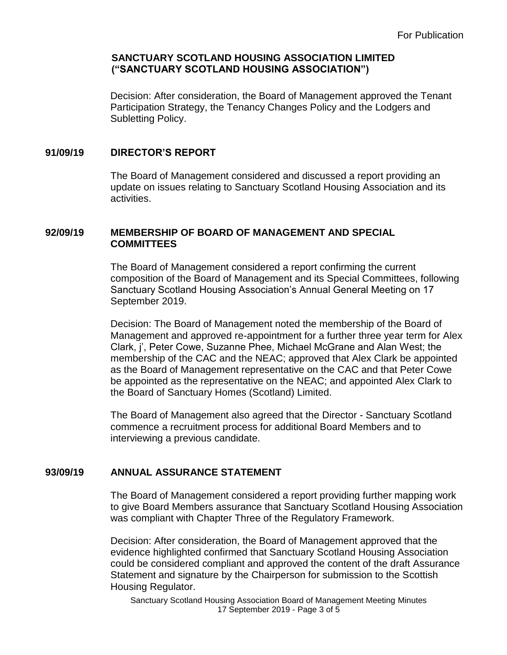Decision: After consideration, the Board of Management approved the Tenant Participation Strategy, the Tenancy Changes Policy and the Lodgers and Subletting Policy.

#### **91/09/19 DIRECTOR'S REPORT**

The Board of Management considered and discussed a report providing an update on issues relating to Sanctuary Scotland Housing Association and its activities.

#### **92/09/19 MEMBERSHIP OF BOARD OF MANAGEMENT AND SPECIAL COMMITTEES**

The Board of Management considered a report confirming the current composition of the Board of Management and its Special Committees, following Sanctuary Scotland Housing Association's Annual General Meeting on 17 September 2019.

Decision: The Board of Management noted the membership of the Board of Management and approved re-appointment for a further three year term for Alex Clark, j', Peter Cowe, Suzanne Phee, Michael McGrane and Alan West; the membership of the CAC and the NEAC; approved that Alex Clark be appointed as the Board of Management representative on the CAC and that Peter Cowe be appointed as the representative on the NEAC; and appointed Alex Clark to the Board of Sanctuary Homes (Scotland) Limited.

The Board of Management also agreed that the Director - Sanctuary Scotland commence a recruitment process for additional Board Members and to interviewing a previous candidate.

# **93/09/19 ANNUAL ASSURANCE STATEMENT**

The Board of Management considered a report providing further mapping work to give Board Members assurance that Sanctuary Scotland Housing Association was compliant with Chapter Three of the Regulatory Framework.

Decision: After consideration, the Board of Management approved that the evidence highlighted confirmed that Sanctuary Scotland Housing Association could be considered compliant and approved the content of the draft Assurance Statement and signature by the Chairperson for submission to the Scottish Housing Regulator.

Sanctuary Scotland Housing Association Board of Management Meeting Minutes 17 September 2019 - Page 3 of 5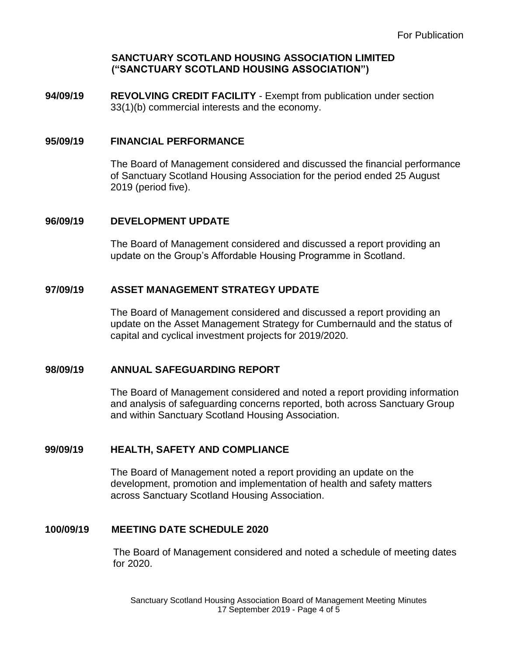**94/09/19 REVOLVING CREDIT FACILITY** - Exempt from publication under section 33(1)(b) commercial interests and the economy.

#### **95/09/19 FINANCIAL PERFORMANCE**

The Board of Management considered and discussed the financial performance of Sanctuary Scotland Housing Association for the period ended 25 August 2019 (period five).

#### **96/09/19 DEVELOPMENT UPDATE**

The Board of Management considered and discussed a report providing an update on the Group's Affordable Housing Programme in Scotland.

# **97/09/19 ASSET MANAGEMENT STRATEGY UPDATE**

The Board of Management considered and discussed a report providing an update on the Asset Management Strategy for Cumbernauld and the status of capital and cyclical investment projects for 2019/2020.

# **98/09/19 ANNUAL SAFEGUARDING REPORT**

The Board of Management considered and noted a report providing information and analysis of safeguarding concerns reported, both across Sanctuary Group and within Sanctuary Scotland Housing Association.

# **99/09/19 HEALTH, SAFETY AND COMPLIANCE**

The Board of Management noted a report providing an update on the development, promotion and implementation of health and safety matters across Sanctuary Scotland Housing Association.

#### **100/09/19 MEETING DATE SCHEDULE 2020**

The Board of Management considered and noted a schedule of meeting dates for 2020.